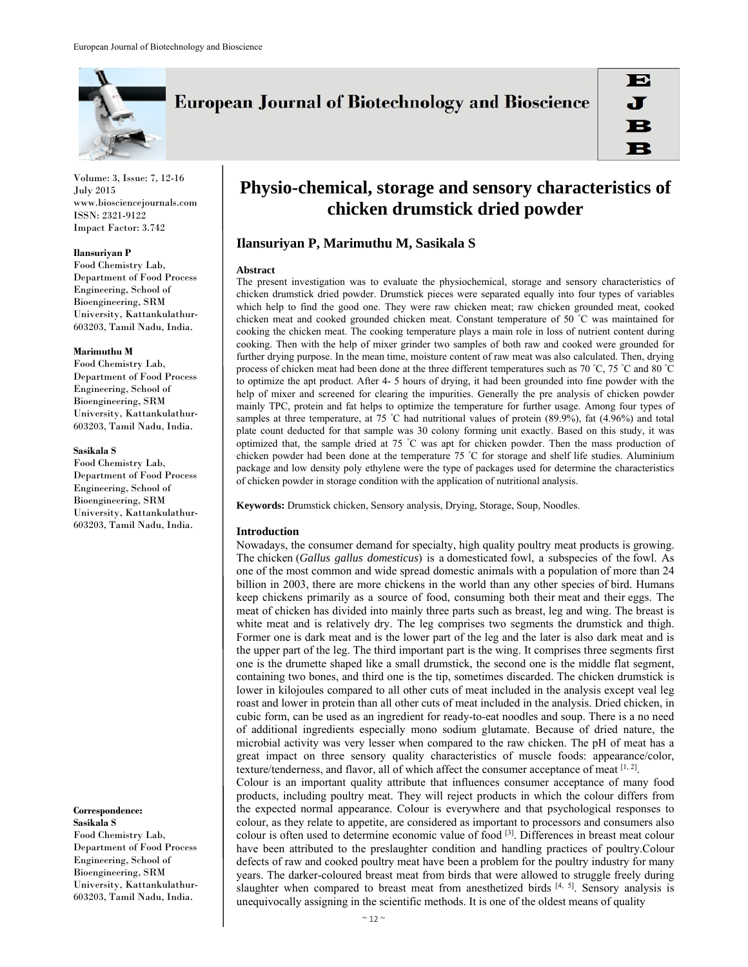

Volume: 3, Issue: 7, 12-16 July 2015 www.biosciencejournals.com ISSN: 2321-9122 Impact Factor: 3.742

#### **Ilansuriyan P**

Food Chemistry Lab, Department of Food Process Engineering, School of Bioengineering, SRM University, Kattankulathur-603203, Tamil Nadu, India.

#### **Marimuthu M**

Food Chemistry Lab, Department of Food Process Engineering, School of Bioengineering, SRM University, Kattankulathur-603203, Tamil Nadu, India.

#### **Sasikala S**

Food Chemistry Lab, Department of Food Process Engineering, School of Bioengineering, SRM University, Kattankulathur-603203, Tamil Nadu, India.

**Correspondence: Sasikala S** 

Food Chemistry Lab, Department of Food Process Engineering, School of Bioengineering, SRM University, Kattankulathur-603203, Tamil Nadu, India.

# **European Journal of Biotechnology and Bioscience**

# **Physio-chemical, storage and sensory characteristics of chicken drumstick dried powder**

# **Ilansuriyan P, Marimuthu M, Sasikala S**

#### **Abstract**

The present investigation was to evaluate the physiochemical, storage and sensory characteristics of chicken drumstick dried powder. Drumstick pieces were separated equally into four types of variables which help to find the good one. They were raw chicken meat; raw chicken grounded meat, cooked chicken meat and cooked grounded chicken meat. Constant temperature of 50 ° C was maintained for cooking the chicken meat. The cooking temperature plays a main role in loss of nutrient content during cooking. Then with the help of mixer grinder two samples of both raw and cooked were grounded for further drying purpose. In the mean time, moisture content of raw meat was also calculated. Then, drying process of chicken meat had been done at the three different temperatures such as 70 °C, 75 °C and 80 °C to optimize the apt product. After 4- 5 hours of drying, it had been grounded into fine powder with the help of mixer and screened for clearing the impurities. Generally the pre analysis of chicken powder mainly TPC, protein and fat helps to optimize the temperature for further usage. Among four types of samples at three temperature, at 75 °C had nutritional values of protein (89.9%), fat (4.96%) and total plate count deducted for that sample was 30 colony forming unit exactly. Based on this study, it was optimized that, the sample dried at 75 ° C was apt for chicken powder. Then the mass production of chicken powder had been done at the temperature 75 ° C for storage and shelf life studies. Aluminium package and low density poly ethylene were the type of packages used for determine the characteristics of chicken powder in storage condition with the application of nutritional analysis.

**Keywords:** Drumstick chicken, Sensory analysis, Drying, Storage, Soup, Noodles.

## **Introduction**

Nowadays, the consumer demand for specialty, high quality poultry meat products is growing. The chicken (*Gallus gallus domesticus*) is a domesticated fowl, a subspecies of the fowl. As one of the most common and wide spread domestic animals with a population of more than 24 billion in 2003, there are more chickens in the world than any other species of bird. Humans keep chickens primarily as a source of food, consuming both their meat and their eggs. The meat of chicken has divided into mainly three parts such as breast, leg and wing. The breast is white meat and is relatively dry. The leg comprises two segments the drumstick and thigh. Former one is dark meat and is the lower part of the leg and the later is also dark meat and is the upper part of the leg. The third important part is the wing. It comprises three segments first one is the drumette shaped like a small drumstick, the second one is the middle flat segment, containing two bones, and third one is the tip, sometimes discarded. The chicken drumstick is lower in kilojoules compared to all other cuts of meat included in the analysis except veal leg roast and lower in protein than all other cuts of meat included in the analysis. Dried chicken, in cubic form, can be used as an ingredient for ready-to-eat noodles and soup. There is a no need of additional ingredients especially mono sodium glutamate. Because of dried nature, the microbial activity was very lesser when compared to the raw chicken. The pH of meat has a great impact on three sensory quality characteristics of muscle foods: appearance/color, texture/tenderness, and flavor, all of which affect the consumer acceptance of meat  $[1, 2]$ .

Colour is an important quality attribute that influences consumer acceptance of many food products, including poultry meat. They will reject products in which the colour differs from the expected normal appearance. Colour is everywhere and that psychological responses to colour, as they relate to appetite, are considered as important to processors and consumers also colour is often used to determine economic value of food  $^{[3]}$ . Differences in breast meat colour have been attributed to the preslaughter condition and handling practices of poultry.Colour defects of raw and cooked poultry meat have been a problem for the poultry industry for many years. The darker-coloured breast meat from birds that were allowed to struggle freely during slaughter when compared to breast meat from anesthetized birds  $[4, 5]$ . Sensory analysis is unequivocally assigning in the scientific methods. It is one of the oldest means of quality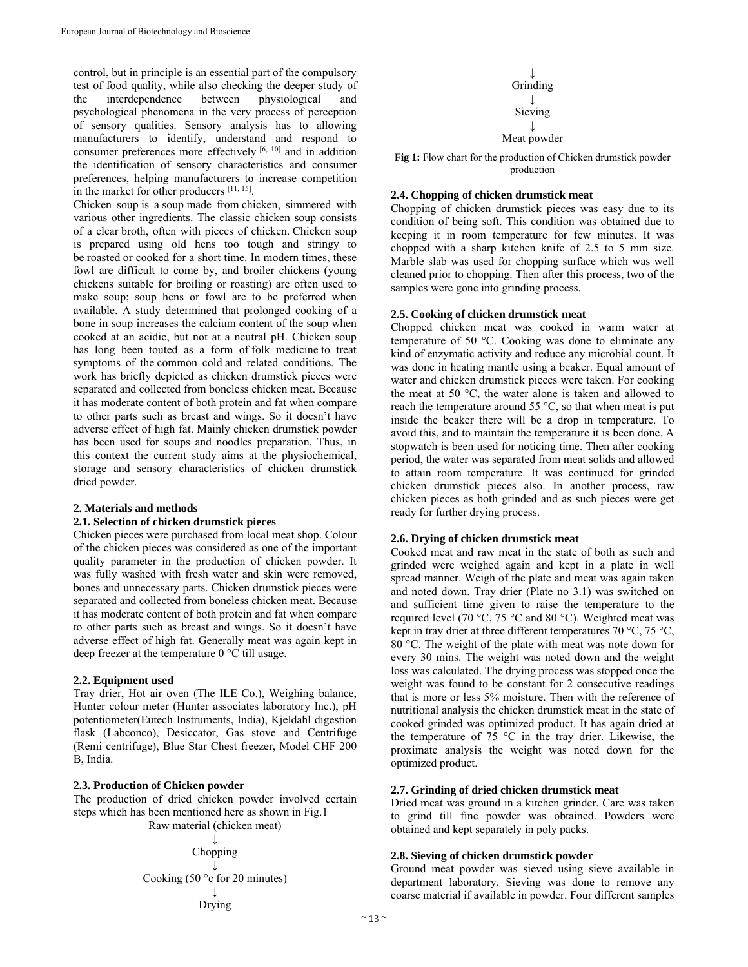control, but in principle is an essential part of the compulsory test of food quality, while also checking the deeper study of the interdependence between physiological and psychological phenomena in the very process of perception of sensory qualities. Sensory analysis has to allowing manufacturers to identify, understand and respond to consumer preferences more effectively  $[6, 10]$  and in addition the identification of sensory characteristics and consumer preferences, helping manufacturers to increase competition in the market for other producers [11, 15].

Chicken soup is a soup made from chicken, simmered with various other ingredients. The classic chicken soup consists of a clear broth, often with pieces of chicken. Chicken soup is prepared using old hens too tough and stringy to be roasted or cooked for a short time. In modern times, these fowl are difficult to come by, and broiler chickens (young chickens suitable for broiling or roasting) are often used to make soup; soup hens or fowl are to be preferred when available. A study determined that prolonged cooking of a bone in soup increases the calcium content of the soup when cooked at an acidic, but not at a neutral pH. Chicken soup has long been touted as a form of folk medicine to treat symptoms of the common cold and related conditions. The work has briefly depicted as chicken drumstick pieces were separated and collected from boneless chicken meat. Because it has moderate content of both protein and fat when compare to other parts such as breast and wings. So it doesn't have adverse effect of high fat. Mainly chicken drumstick powder has been used for soups and noodles preparation. Thus, in this context the current study aims at the physiochemical, storage and sensory characteristics of chicken drumstick dried powder.

## **2. Materials and methods**

# **2.1. Selection of chicken drumstick pieces**

Chicken pieces were purchased from local meat shop. Colour of the chicken pieces was considered as one of the important quality parameter in the production of chicken powder. It was fully washed with fresh water and skin were removed, bones and unnecessary parts. Chicken drumstick pieces were separated and collected from boneless chicken meat. Because it has moderate content of both protein and fat when compare to other parts such as breast and wings. So it doesn't have adverse effect of high fat. Generally meat was again kept in deep freezer at the temperature 0 °C till usage.

## **2.2. Equipment used**

Tray drier, Hot air oven (The ILE Co.), Weighing balance, Hunter colour meter (Hunter associates laboratory Inc.), pH potentiometer(Eutech Instruments, India), Kjeldahl digestion flask (Labconco), Desiccator, Gas stove and Centrifuge (Remi centrifuge), Blue Star Chest freezer, Model CHF 200 B, India.

#### **2.3. Production of Chicken powder**

The production of dried chicken powder involved certain steps which has been mentioned here as shown in Fig.1 Raw material (chicken meat)

## ↓ Chopping

↓ Cooking (50 °c for 20 minutes) ↓ Drying

↓ Grinding ↓ Sieving ↓ Meat powder

**Fig 1:** Flow chart for the production of Chicken drumstick powder production

# **2.4. Chopping of chicken drumstick meat**

Chopping of chicken drumstick pieces was easy due to its condition of being soft. This condition was obtained due to keeping it in room temperature for few minutes. It was chopped with a sharp kitchen knife of 2.5 to 5 mm size. Marble slab was used for chopping surface which was well cleaned prior to chopping. Then after this process, two of the samples were gone into grinding process.

## **2.5. Cooking of chicken drumstick meat**

Chopped chicken meat was cooked in warm water at temperature of 50 °C. Cooking was done to eliminate any kind of enzymatic activity and reduce any microbial count. It was done in heating mantle using a beaker. Equal amount of water and chicken drumstick pieces were taken. For cooking the meat at 50 °C, the water alone is taken and allowed to reach the temperature around 55  $\degree$ C, so that when meat is put inside the beaker there will be a drop in temperature. To avoid this, and to maintain the temperature it is been done. A stopwatch is been used for noticing time. Then after cooking period, the water was separated from meat solids and allowed to attain room temperature. It was continued for grinded chicken drumstick pieces also. In another process, raw chicken pieces as both grinded and as such pieces were get ready for further drying process.

### **2.6. Drying of chicken drumstick meat**

Cooked meat and raw meat in the state of both as such and grinded were weighed again and kept in a plate in well spread manner. Weigh of the plate and meat was again taken and noted down. Tray drier (Plate no 3.1) was switched on and sufficient time given to raise the temperature to the required level (70 °C, 75 °C and 80 °C). Weighted meat was kept in tray drier at three different temperatures 70 °C, 75 °C, 80 °C. The weight of the plate with meat was note down for every 30 mins. The weight was noted down and the weight loss was calculated. The drying process was stopped once the weight was found to be constant for 2 consecutive readings that is more or less 5% moisture. Then with the reference of nutritional analysis the chicken drumstick meat in the state of cooked grinded was optimized product. It has again dried at the temperature of 75 °C in the tray drier. Likewise, the proximate analysis the weight was noted down for the optimized product.

#### **2.7. Grinding of dried chicken drumstick meat**

Dried meat was ground in a kitchen grinder. Care was taken to grind till fine powder was obtained. Powders were obtained and kept separately in poly packs.

## **2.8. Sieving of chicken drumstick powder**

Ground meat powder was sieved using sieve available in department laboratory. Sieving was done to remove any coarse material if available in powder. Four different samples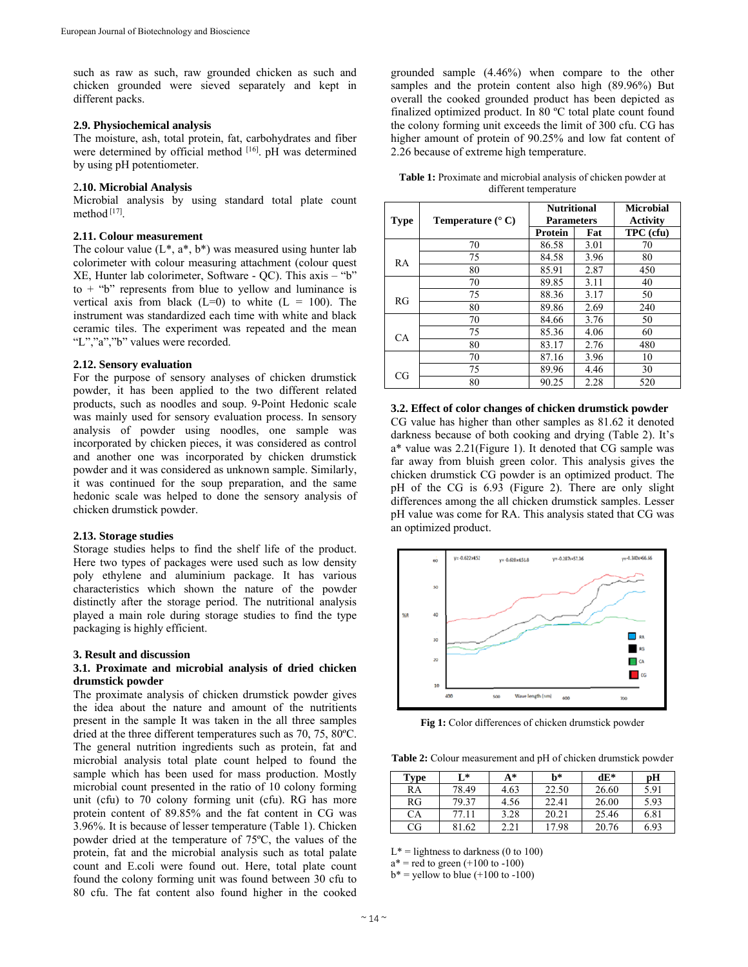such as raw as such, raw grounded chicken as such and chicken grounded were sieved separately and kept in different packs.

#### **2.9. Physiochemical analysis**

The moisture, ash, total protein, fat, carbohydrates and fiber were determined by official method [16]. pH was determined by using pH potentiometer.

# 2**.10. Microbial Analysis**

Microbial analysis by using standard total plate count method [17].

# **2.11. Colour measurement**

The colour value  $(L^*, a^*, b^*)$  was measured using hunter lab colorimeter with colour measuring attachment (colour quest XE, Hunter lab colorimeter, Software - QC). This axis – "b" to  $+$  "b" represents from blue to yellow and luminance is vertical axis from black  $(L=0)$  to white  $(L = 100)$ . The instrument was standardized each time with white and black ceramic tiles. The experiment was repeated and the mean "L","a","b" values were recorded.

## **2.12. Sensory evaluation**

For the purpose of sensory analyses of chicken drumstick powder, it has been applied to the two different related products, such as noodles and soup. 9-Point Hedonic scale was mainly used for sensory evaluation process. In sensory analysis of powder using noodles, one sample was incorporated by chicken pieces, it was considered as control and another one was incorporated by chicken drumstick powder and it was considered as unknown sample. Similarly, it was continued for the soup preparation, and the same hedonic scale was helped to done the sensory analysis of chicken drumstick powder.

### **2.13. Storage studies**

Storage studies helps to find the shelf life of the product. Here two types of packages were used such as low density poly ethylene and aluminium package. It has various characteristics which shown the nature of the powder distinctly after the storage period. The nutritional analysis played a main role during storage studies to find the type packaging is highly efficient.

## **3. Result and discussion**

# **3.1. Proximate and microbial analysis of dried chicken drumstick powder**

The proximate analysis of chicken drumstick powder gives the idea about the nature and amount of the nutritients present in the sample It was taken in the all three samples dried at the three different temperatures such as 70, 75, 80ºC. The general nutrition ingredients such as protein, fat and microbial analysis total plate count helped to found the sample which has been used for mass production. Mostly microbial count presented in the ratio of 10 colony forming unit (cfu) to 70 colony forming unit (cfu). RG has more protein content of 89.85% and the fat content in CG was 3.96%. It is because of lesser temperature (Table 1). Chicken powder dried at the temperature of 75ºC, the values of the protein, fat and the microbial analysis such as total palate count and E.coli were found out. Here, total plate count found the colony forming unit was found between 30 cfu to 80 cfu. The fat content also found higher in the cooked

grounded sample (4.46%) when compare to the other samples and the protein content also high (89.96%) But overall the cooked grounded product has been depicted as finalized optimized product. In 80 ºC total plate count found the colony forming unit exceeds the limit of 300 cfu. CG has higher amount of protein of 90.25% and low fat content of 2.26 because of extreme high temperature.

**Table 1:** Proximate and microbial analysis of chicken powder at different temperature

| <b>Type</b> | Temperature $(^{\circ}$ C) | <b>Nutritional</b><br><b>Parameters</b> |      | <b>Microbial</b><br><b>Activity</b> |  |
|-------------|----------------------------|-----------------------------------------|------|-------------------------------------|--|
|             |                            | <b>Protein</b>                          | Fat  | TPC (cfu)                           |  |
|             | 70                         | 86.58                                   | 3.01 | 70                                  |  |
| RA          | 75                         | 84.58                                   | 3.96 | 80                                  |  |
|             | 80                         | 85.91                                   | 2.87 | 450                                 |  |
|             | 70                         | 89.85                                   | 3.11 | 40                                  |  |
| RG          | 75                         | 88.36                                   | 3.17 | 50                                  |  |
|             | 80                         | 89.86                                   | 2.69 | 240                                 |  |
|             | 70                         | 84.66                                   | 3.76 | 50                                  |  |
| CA          | 75                         | 85.36                                   | 4.06 | 60                                  |  |
|             | 80                         | 83.17                                   | 2.76 | 480                                 |  |
|             | 70                         | 87.16                                   | 3.96 | 10                                  |  |
| CG          | 75                         | 89.96                                   | 4.46 | 30                                  |  |
|             | 80                         | 90.25                                   | 2.28 | 520                                 |  |

**3.2. Effect of color changes of chicken drumstick powder**  CG value has higher than other samples as 81.62 it denoted darkness because of both cooking and drying (Table 2). It's a\* value was 2.21(Figure 1). It denoted that CG sample was far away from bluish green color. This analysis gives the chicken drumstick CG powder is an optimized product. The pH of the CG is 6.93 (Figure 2). There are only slight differences among the all chicken drumstick samples. Lesser pH value was come for RA. This analysis stated that CG was



**Fig 1:** Color differences of chicken drumstick powder

**Table 2:** Colour measurement and pH of chicken drumstick powder

| <b>Type</b> | L*    | $A^*$ | h*    | $dE^*$ | рH   |
|-------------|-------|-------|-------|--------|------|
| RA          | 78.49 | 4.63  | 22.50 | 26.60  | 5.91 |
| RG          | 79.37 | 4.56  | 22.41 | 26.00  | 5.93 |
| <b>CA</b>   | 77.11 | 3.28  | 20.21 | 25.46  | 6.81 |
| CG          | 81.62 | 2.21  | 17.98 | 20.76  | 6.93 |

 $L^*$  = lightness to darkness (0 to 100)

an optimized product.

 $a^*$  = red to green (+100 to -100)

 $b^*$  = yellow to blue (+100 to -100)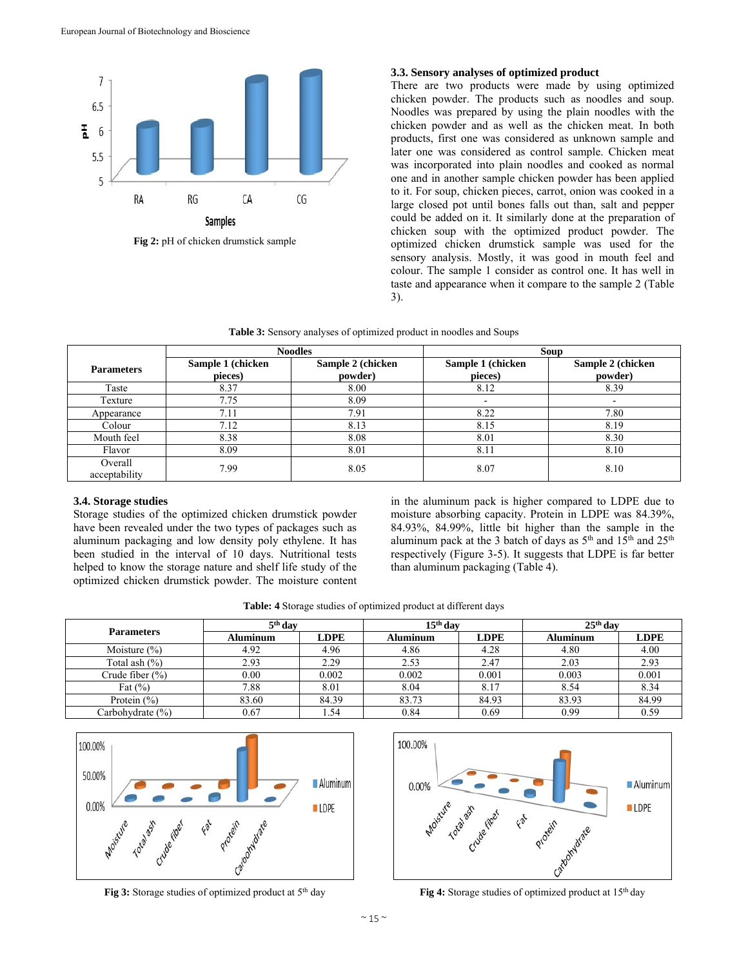

**Fig 2:** pH of chicken drumstick sample

# **3.3. Sensory analyses of optimized product**

There are two products were made by using optimized chicken powder. The products such as noodles and soup. Noodles was prepared by using the plain noodles with the chicken powder and as well as the chicken meat. In both products, first one was considered as unknown sample and later one was considered as control sample. Chicken meat was incorporated into plain noodles and cooked as normal one and in another sample chicken powder has been applied to it. For soup, chicken pieces, carrot, onion was cooked in a large closed pot until bones falls out than, salt and pepper could be added on it. It similarly done at the preparation of chicken soup with the optimized product powder. The optimized chicken drumstick sample was used for the sensory analysis. Mostly, it was good in mouth feel and colour. The sample 1 consider as control one. It has well in taste and appearance when it compare to the sample 2 (Table 3).

|  |  |  | Table 3: Sensory analyses of optimized product in noodles and Soups |
|--|--|--|---------------------------------------------------------------------|
|--|--|--|---------------------------------------------------------------------|

|                          |                              | <b>Noodles</b>               | <b>Soup</b>                  |                              |  |
|--------------------------|------------------------------|------------------------------|------------------------------|------------------------------|--|
| <b>Parameters</b>        | Sample 1 (chicken<br>pieces) | Sample 2 (chicken<br>powder) | Sample 1 (chicken<br>pieces) | Sample 2 (chicken<br>powder) |  |
| Taste                    | 8.37                         | 8.00                         | 8.12                         | 8.39                         |  |
| Texture                  | 7.75                         | 8.09                         |                              |                              |  |
| Appearance               | 7.11                         | 7.91                         | 8.22                         | 7.80                         |  |
| Colour                   | 7.12                         | 8.13                         | 8.15                         | 8.19                         |  |
| Mouth feel               | 8.38                         | 8.08                         | 8.01                         | 8.30                         |  |
| Flavor                   | 8.09                         | 8.01                         | 8.11                         | 8.10                         |  |
| Overall<br>acceptability | 7.99                         | 8.05                         | 8.07                         | 8.10                         |  |

# **3.4. Storage studies**

Storage studies of the optimized chicken drumstick powder have been revealed under the two types of packages such as aluminum packaging and low density poly ethylene. It has been studied in the interval of 10 days. Nutritional tests helped to know the storage nature and shelf life study of the optimized chicken drumstick powder. The moisture content in the aluminum pack is higher compared to LDPE due to moisture absorbing capacity. Protein in LDPE was 84.39%, 84.93%, 84.99%, little bit higher than the sample in the aluminum pack at the 3 batch of days as  $5<sup>th</sup>$  and  $15<sup>th</sup>$  and  $25<sup>th</sup>$ respectively (Figure 3-5). It suggests that LDPE is far better than aluminum packaging (Table 4).

|  |  |  |  |  | Table: 4 Storage studies of optimized product at different days |  |  |  |  |
|--|--|--|--|--|-----------------------------------------------------------------|--|--|--|--|
|--|--|--|--|--|-----------------------------------------------------------------|--|--|--|--|

|                      | 5 <sup>th</sup> day |             | $15th$ dav      |             | $25th$ day      |             |
|----------------------|---------------------|-------------|-----------------|-------------|-----------------|-------------|
| <b>Parameters</b>    | <b>Aluminum</b>     | <b>LDPE</b> | <b>Aluminum</b> | <b>LDPE</b> | <b>Aluminum</b> | <b>LDPE</b> |
| Moisture $(\% )$     | 4.92                | 4.96        | 4.86            | 4.28        | 4.80            | 4.00        |
| Total ash $(\%)$     | 2.93                | 2.29        | 2.53            | 2.47        | 2.03            | 2.93        |
| Crude fiber (%)      | 0.00                | 0.002       | 0.002           | 0.001       | 0.003           | 0.001       |
| Fat $(\% )$          | 7.88                | 8.01        | 8.04            | 8.17        | 8.54            | 8.34        |
| Protein $(\% )$      | 83.60               | 84.39       | 83.73           | 84.93       | 83.93           | 84.99       |
| Carbohydrate $(\% )$ | 0.67                | .54         | 0.84            | 0.69        | 0.99            | 0.59        |







**Fig 3:** Storage studies of optimized product at 5<sup>th</sup> day **Fig 4:** Storage studies of optimized product at 15<sup>th</sup> day